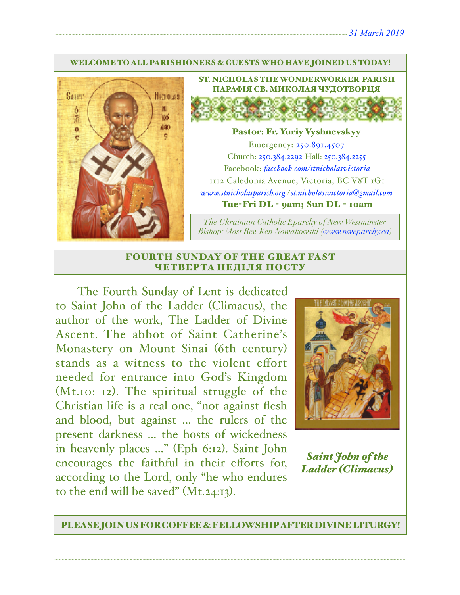#### WELCOME TO ALL PARISHIONERS & GUESTS WHO HAVE JOINED US TODAY!



ST. NICHOLAS THE WONDERWORKER PARISH ПАРАФІЯ СВ. МИКОЛАЯ ЧУДОТВОРЦЯ

### Pastor: Fr. Yuriy Vyshnevskyy

Emergency: 250.891.4507 Church: 250.384.2292 Hall: 250.384.2255 Facebook: *[facebook.com/stnicholasvictoria](http://facebook.com/stnicholasvictoria)* 1112 Caledonia Avenue, Victoria, BC V8T 1G1 *[www.stnicholasparish.org](http://www.stnicholasparish.org) / [st.nicholas.victoria@gmail.com](mailto:st.nicholas.victoria@gmail.com)* Tue-Fri DL - 9am; Sun DL - 10am

*The Ukrainian Catholic Eparchy of New Westminster Bishop: Most Rev. Ken Nowakowski ([www.nweparchy.ca](http://www.nweparchy.ca))*

#### FOURTH SUNDAY OF THE GREAT FAST ЧЕТВЕРТА НЕДІЛЯ ПОСТУ

The Fourth Sunday of Lent is dedicated to Saint John of the Ladder (Climacus), the author of the work, The Ladder of Divine Ascent. The abbot of Saint Catherine's Monastery on Mount Sinai (6th century) stands as a witness to the violent effort needed for entrance into God's Kingdom (Mt.10: 12). The spiritual struggle of the Christian life is a real one, "not against flesh and blood, but against ... the rulers of the present darkness ... the hosts of wickedness in heavenly places ..." (Eph 6:12). Saint John encourages the faithful in their efforts for, according to the Lord, only "he who endures to the end will be saved"  $(Mt.24:13)$ .



*Saint John of the Ladder (Climacus)*

PLEASE JOIN US FOR COFFEE & FELLOWSHIP AFTER DIVINE LITURGY!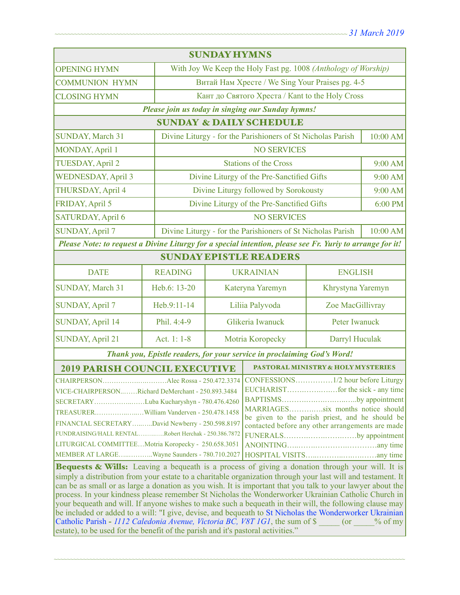| <b>SUNDAY HYMNS</b>                                                                                                                                                                                                                                                                                                                                                                                                                                                                                                                                                                                                                                                                                                                                                                                                                                                                                                                                                                                                                                                                                                                                                             |                |                                                                         |                                               |                |          |  |  |
|---------------------------------------------------------------------------------------------------------------------------------------------------------------------------------------------------------------------------------------------------------------------------------------------------------------------------------------------------------------------------------------------------------------------------------------------------------------------------------------------------------------------------------------------------------------------------------------------------------------------------------------------------------------------------------------------------------------------------------------------------------------------------------------------------------------------------------------------------------------------------------------------------------------------------------------------------------------------------------------------------------------------------------------------------------------------------------------------------------------------------------------------------------------------------------|----------------|-------------------------------------------------------------------------|-----------------------------------------------|----------------|----------|--|--|
| <b>OPENING HYMN</b>                                                                                                                                                                                                                                                                                                                                                                                                                                                                                                                                                                                                                                                                                                                                                                                                                                                                                                                                                                                                                                                                                                                                                             |                | With Joy We Keep the Holy Fast pg. 1008 (Anthology of Worship)          |                                               |                |          |  |  |
| <b>COMMUNION HYMN</b>                                                                                                                                                                                                                                                                                                                                                                                                                                                                                                                                                                                                                                                                                                                                                                                                                                                                                                                                                                                                                                                                                                                                                           |                | Витай Нам Хресте / We Sing Your Praises pg. 4-5                         |                                               |                |          |  |  |
| <b>CLOSING HYMN</b>                                                                                                                                                                                                                                                                                                                                                                                                                                                                                                                                                                                                                                                                                                                                                                                                                                                                                                                                                                                                                                                                                                                                                             |                | Кант до Святого Хреста / Kant to the Holy Cross                         |                                               |                |          |  |  |
| Please join us today in singing our Sunday hymns!                                                                                                                                                                                                                                                                                                                                                                                                                                                                                                                                                                                                                                                                                                                                                                                                                                                                                                                                                                                                                                                                                                                               |                |                                                                         |                                               |                |          |  |  |
| <b>SUNDAY &amp; DAILY SCHEDULE</b>                                                                                                                                                                                                                                                                                                                                                                                                                                                                                                                                                                                                                                                                                                                                                                                                                                                                                                                                                                                                                                                                                                                                              |                |                                                                         |                                               |                |          |  |  |
| <b>SUNDAY, March 31</b>                                                                                                                                                                                                                                                                                                                                                                                                                                                                                                                                                                                                                                                                                                                                                                                                                                                                                                                                                                                                                                                                                                                                                         |                | Divine Liturgy - for the Parishioners of St Nicholas Parish             |                                               |                | 10:00 AM |  |  |
| MONDAY, April 1                                                                                                                                                                                                                                                                                                                                                                                                                                                                                                                                                                                                                                                                                                                                                                                                                                                                                                                                                                                                                                                                                                                                                                 |                | <b>NO SERVICES</b>                                                      |                                               |                |          |  |  |
| <b>TUESDAY, April 2</b>                                                                                                                                                                                                                                                                                                                                                                                                                                                                                                                                                                                                                                                                                                                                                                                                                                                                                                                                                                                                                                                                                                                                                         |                | <b>Stations of the Cross</b>                                            |                                               |                | 9:00 AM  |  |  |
| <b>WEDNESDAY, April 3</b>                                                                                                                                                                                                                                                                                                                                                                                                                                                                                                                                                                                                                                                                                                                                                                                                                                                                                                                                                                                                                                                                                                                                                       |                | Divine Liturgy of the Pre-Sanctified Gifts                              |                                               |                | 9:00 AM  |  |  |
| THURSDAY, April 4                                                                                                                                                                                                                                                                                                                                                                                                                                                                                                                                                                                                                                                                                                                                                                                                                                                                                                                                                                                                                                                                                                                                                               |                | Divine Liturgy followed by Sorokousty                                   |                                               |                | 9:00 AM  |  |  |
| FRIDAY, April 5                                                                                                                                                                                                                                                                                                                                                                                                                                                                                                                                                                                                                                                                                                                                                                                                                                                                                                                                                                                                                                                                                                                                                                 |                | Divine Liturgy of the Pre-Sanctified Gifts                              |                                               |                | 6:00 PM  |  |  |
| SATURDAY, April 6                                                                                                                                                                                                                                                                                                                                                                                                                                                                                                                                                                                                                                                                                                                                                                                                                                                                                                                                                                                                                                                                                                                                                               |                | <b>NO SERVICES</b>                                                      |                                               |                |          |  |  |
| <b>SUNDAY, April 7</b>                                                                                                                                                                                                                                                                                                                                                                                                                                                                                                                                                                                                                                                                                                                                                                                                                                                                                                                                                                                                                                                                                                                                                          |                | Divine Liturgy - for the Parishioners of St Nicholas Parish<br>10:00 AM |                                               |                |          |  |  |
| Please Note: to request a Divine Liturgy for a special intention, please see Fr. Yuriy to arrange for it!                                                                                                                                                                                                                                                                                                                                                                                                                                                                                                                                                                                                                                                                                                                                                                                                                                                                                                                                                                                                                                                                       |                |                                                                         |                                               |                |          |  |  |
| <b>SUNDAY EPISTLE READERS</b>                                                                                                                                                                                                                                                                                                                                                                                                                                                                                                                                                                                                                                                                                                                                                                                                                                                                                                                                                                                                                                                                                                                                                   |                |                                                                         |                                               |                |          |  |  |
| <b>DATE</b>                                                                                                                                                                                                                                                                                                                                                                                                                                                                                                                                                                                                                                                                                                                                                                                                                                                                                                                                                                                                                                                                                                                                                                     | <b>READING</b> |                                                                         | <b>UKRAINIAN</b>                              | <b>ENGLISH</b> |          |  |  |
| SUNDAY, March 31                                                                                                                                                                                                                                                                                                                                                                                                                                                                                                                                                                                                                                                                                                                                                                                                                                                                                                                                                                                                                                                                                                                                                                | Heb.6: 13-20   |                                                                         | Kateryna Yaremyn<br>Khrystyna Yaremyn         |                |          |  |  |
| <b>SUNDAY, April 7</b>                                                                                                                                                                                                                                                                                                                                                                                                                                                                                                                                                                                                                                                                                                                                                                                                                                                                                                                                                                                                                                                                                                                                                          | Heb.9:11-14    |                                                                         | Liliia Palyvoda<br>Zoe MacGillivray           |                |          |  |  |
| <b>SUNDAY, April 14</b>                                                                                                                                                                                                                                                                                                                                                                                                                                                                                                                                                                                                                                                                                                                                                                                                                                                                                                                                                                                                                                                                                                                                                         | Phil. 4:4-9    |                                                                         | Glikeria Iwanuck<br>Peter Iwanuck             |                |          |  |  |
| <b>SUNDAY, April 21</b>                                                                                                                                                                                                                                                                                                                                                                                                                                                                                                                                                                                                                                                                                                                                                                                                                                                                                                                                                                                                                                                                                                                                                         | Act. 1: 1-8    |                                                                         | Motria Koropecky<br>Darryl Huculak            |                |          |  |  |
| Thank you, Epistle readers, for your service in proclaiming God's Word!                                                                                                                                                                                                                                                                                                                                                                                                                                                                                                                                                                                                                                                                                                                                                                                                                                                                                                                                                                                                                                                                                                         |                |                                                                         |                                               |                |          |  |  |
| <b>2019 PARISH COUNCIL EXECUTIVE</b>                                                                                                                                                                                                                                                                                                                                                                                                                                                                                                                                                                                                                                                                                                                                                                                                                                                                                                                                                                                                                                                                                                                                            |                |                                                                         | <b>PASTORAL MINISTRY &amp; HOLY MYSTERIES</b> |                |          |  |  |
| VICE-CHAIRPERSONRichard DeMerchant - 250.893.3484<br>BAPTISMSby appointment<br>SECRETARYLuba Kucharyshyn - 780.476.4260<br>MARRIAGESsix months notice should<br>be given to the parish priest, and he should be<br>FINANCIAL SECRETARYDavid Newberry - 250.598.8197<br>contacted before any other arrangements are made<br>FUNDRAISING/HALL RENTALRobert Herchak - 250.386.7872<br>FUNERALSby appointment<br>LITURGICAL COMMITTEEMotria Koropecky - 250.658.3051<br>MEMBER AT LARGEWayne Saunders - 780.710.2027<br>Bequests & Wills: Leaving a bequeath is a process of giving a donation through your will. It is<br>simply a distribution from your estate to a charitable organization through your last will and testament. It<br>can be as small or as large a donation as you wish. It is important that you talk to your lawyer about the<br>process. In your kindness please remember St Nicholas the Wonderworker Ukrainian Catholic Church in<br>your bequeath and will. If anyone wishes to make such a bequeath in their will, the following clause may<br>be included or added to a will: "I give, devise, and bequeath to St Nicholas the Wonderworker Ukrainian |                |                                                                         |                                               |                |          |  |  |
| Catholic Parish - 1112 Caledonia Avenue, Victoria BC, V8T 1G1, the sum of \$<br>$($ or<br>$%$ of my<br>estate), to be used for the benefit of the parish and it's pastoral activities."                                                                                                                                                                                                                                                                                                                                                                                                                                                                                                                                                                                                                                                                                                                                                                                                                                                                                                                                                                                         |                |                                                                         |                                               |                |          |  |  |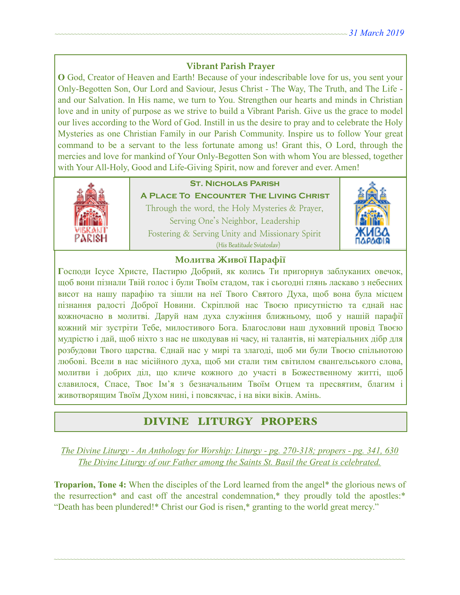### **Vibrant Parish Prayer**

**O** God, Creator of Heaven and Earth! Because of your indescribable love for us, you sent your Only-Begotten Son, Our Lord and Saviour, Jesus Christ - The Way, The Truth, and The Life and our Salvation. In His name, we turn to You. Strengthen our hearts and minds in Christian love and in unity of purpose as we strive to build a Vibrant Parish. Give us the grace to model our lives according to the Word of God. Instill in us the desire to pray and to celebrate the Holy Mysteries as one Christian Family in our Parish Community. Inspire us to follow Your great command to be a servant to the less fortunate among us! Grant this, O Lord, through the mercies and love for mankind of Your Only-Begotten Son with whom You are blessed, together with Your All-Holy, Good and Life-Giving Spirit, now and forever and ever. Amen!



## **St. Nicholas Parish**

**A Place To Encounter The Living Christ** Through the word, the Holy Mysteries & Prayer, Serving One's Neighbor, Leadership Fostering & Serving Unity and Missionary Spirit (His Beatitude Sviatoslav)



### **Молитва Живої Парафії**

**Г**осподи Ісусе Христе, Пастирю Добрий, як колись Ти пригорнув заблуканих овечок, щоб вони пізнали Твій голос і були Твоїм стадом, так і сьогодні глянь ласкаво з небесних висот на нашу парафію та зішли на неї Твого Святого Духа, щоб вона була місцем пізнання радості Доброї Новини. Скріплюй нас Твоєю присутністю та єднай нас кожночасно в молитві. Даруй нам духа служіння ближньому, щоб у нашій парафії кожний міг зустріти Тебе, милостивого Бога. Благослови наш духовний провід Твоєю мудрістю і дай, щоб ніхто з нас не шкодував ні часу, ні талантів, ні матеріальних дібр для розбудови Твого царства. Єднай нас у мирі та злагоді, щоб ми були Твоєю спільнотою любові. Всели в нас місійного духа, щоб ми стали тим світилом євангельського слова, молитви і добрих діл, що кличе кожного до участі в Божественному житті, щоб славилося, Спасе, Твоє Ім'я з безначальним Твоїм Отцем та пресвятим, благим і животворящим Твоїм Духом нині, і повсякчас, і на віки віків. Амінь.

# DIVINE LITURGY PROPERS

*The Divine Liturgy - An Anthology for Worship: Liturgy - pg. 270-318; propers - pg. 341, 630 The Divine Liturgy of our Father among the Saints St. Basil the Great is celebrated.* 

**Troparion, Tone 4:** When the disciples of the Lord learned from the angel\* the glorious news of the resurrection\* and cast off the ancestral condemnation,\* they proudly told the apostles:\* "Death has been plundered!\* Christ our God is risen,\* granting to the world great mercy."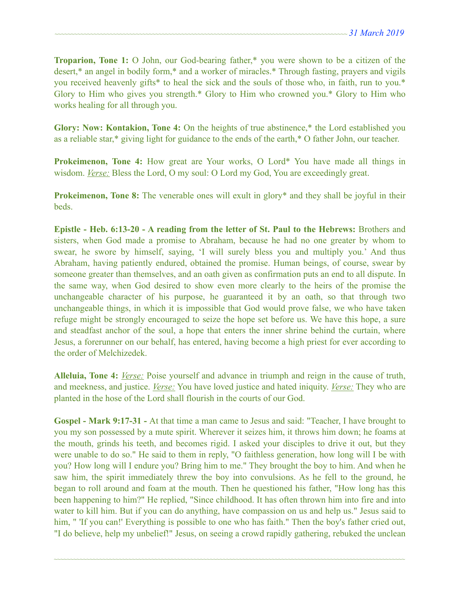**Troparion, Tone 1:** O John, our God-bearing father,\* you were shown to be a citizen of the desert,\* an angel in bodily form,\* and a worker of miracles.\* Through fasting, prayers and vigils you received heavenly gifts\* to heal the sick and the souls of those who, in faith, run to you.\* Glory to Him who gives you strength.\* Glory to Him who crowned you.\* Glory to Him who works healing for all through you.

**Glory: Now: Kontakion, Tone 4:** On the heights of true abstinence,\* the Lord established you as a reliable star,\* giving light for guidance to the ends of the earth,\* O father John, our teacher.

**Prokeimenon, Tone 4:** How great are Your works, O Lord\* You have made all things in wisdom. *Verse:* Bless the Lord, O my soul: O Lord my God, You are exceedingly great.

**Prokeimenon, Tone 8:** The venerable ones will exult in glory<sup>\*</sup> and they shall be joyful in their beds.

**Epistle - Heb. 6:13-20 - A reading from the letter of St. Paul to the Hebrews:** Brothers and sisters, when God made a promise to Abraham, because he had no one greater by whom to swear, he swore by himself, saying, 'I will surely bless you and multiply you.' And thus Abraham, having patiently endured, obtained the promise. Human beings, of course, swear by someone greater than themselves, and an oath given as confirmation puts an end to all dispute. In the same way, when God desired to show even more clearly to the heirs of the promise the unchangeable character of his purpose, he guaranteed it by an oath, so that through two unchangeable things, in which it is impossible that God would prove false, we who have taken refuge might be strongly encouraged to seize the hope set before us. We have this hope, a sure and steadfast anchor of the soul, a hope that enters the inner shrine behind the curtain, where Jesus, a forerunner on our behalf, has entered, having become a high priest for ever according to the order of Melchizedek.

**Alleluia, Tone 4:** *Verse:* Poise yourself and advance in triumph and reign in the cause of truth, and meekness, and justice. *Verse:* You have loved justice and hated iniquity. *Verse:* They who are planted in the hose of the Lord shall flourish in the courts of our God.

**Gospel - Mark 9:17-31 -** At that time a man came to Jesus and said: "Teacher, I have brought to you my son possessed by a mute spirit. Wherever it seizes him, it throws him down; he foams at the mouth, grinds his teeth, and becomes rigid. I asked your disciples to drive it out, but they were unable to do so." He said to them in reply, "O faithless generation, how long will I be with you? How long will I endure you? Bring him to me." They brought the boy to him. And when he saw him, the spirit immediately threw the boy into convulsions. As he fell to the ground, he began to roll around and foam at the mouth. Then he questioned his father, "How long has this been happening to him?" He replied, "Since childhood. It has often thrown him into fire and into water to kill him. But if you can do anything, have compassion on us and help us." Jesus said to him, " 'If you can!' Everything is possible to one who has faith." Then the boy's father cried out, "I do believe, help my unbelief!" Jesus, on seeing a crowd rapidly gathering, rebuked the unclean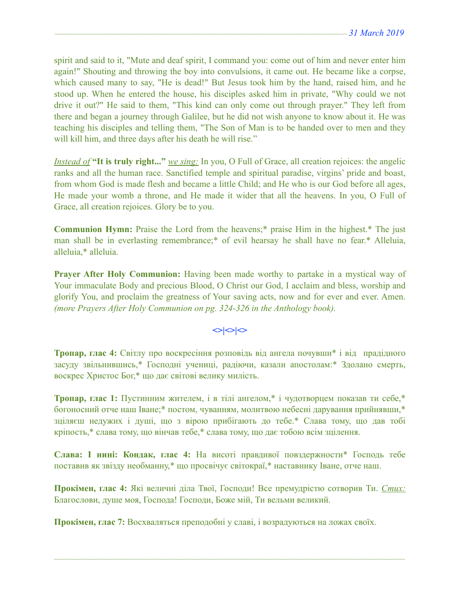spirit and said to it, "Mute and deaf spirit, I command you: come out of him and never enter him again!" Shouting and throwing the boy into convulsions, it came out. He became like a corpse, which caused many to say, "He is dead!" But Jesus took him by the hand, raised him, and he stood up. When he entered the house, his disciples asked him in private, "Why could we not drive it out?" He said to them, "This kind can only come out through prayer." They left from there and began a journey through Galilee, but he did not wish anyone to know about it. He was teaching his disciples and telling them, "The Son of Man is to be handed over to men and they will kill him, and three days after his death he will rise."

*Instead of* **"It is truly right..."** *we sing:* In you, O Full of Grace, all creation rejoices: the angelic ranks and all the human race. Sanctified temple and spiritual paradise, virgins' pride and boast, from whom God is made flesh and became a little Child; and He who is our God before all ages, He made your womb a throne, and He made it wider that all the heavens. In you, O Full of Grace, all creation rejoices. Glory be to you.

**Communion Hymn:** Praise the Lord from the heavens;\* praise Him in the highest.\* The just man shall be in everlasting remembrance;\* of evil hearsay he shall have no fear.\* Alleluia, alleluia,\* alleluia.

**Prayer After Holy Communion:** Having been made worthy to partake in a mystical way of Your immaculate Body and precious Blood, O Christ our God, I acclaim and bless, worship and glorify You, and proclaim the greatness of Your saving acts, now and for ever and ever. Amen. *(more Prayers After Holy Communion on pg. 324-326 in the Anthology book).* 

# $\left| \diamond \right| \diamond \left| \diamond \right|$

**Тропар, глас 4:** Світлу про воскресіння розповідь від ангела почувши\* і від прадідного засуду звільнившись,\* Господні учениці, радіючи, казали апостолам:\* Здолано смерть, воскрес Христос Бог,\* що дає світові велику милість.

**Тропар, глас 1:** Пустинним жителем, і в тілі ангелом,\* і чудотворцем показав ти себе,\* богоносний отче наш Іване;\* постом, чуванням, молитвою небесні дарування прийнявши,\* зціляєш недужих і душі, що з вірою прибігають до тебе.\* Слава тому, що дав тобі кріпость,\* слава тому, що вінчав тебе,\* слава тому, що дає тобою всім зцілення.

**Слава: І нині: Кондак, глас 4:** На висоті правдивої повздержности\* Господь тебе поставив як звізду необманну,\* що просвічує світокраї,\* наставнику Іване, отче наш.

**Прокімен, глас 4:** Які величні діла Твої, Господи! Все премудрістю сотворив Ти. *Стих:* Благослови, душе моя, Господа! Господи, Боже мій, Ти вельми великий.

~~~~~~~~~~~~~~~~~~~~~~~~~~~~~~~~~~~~~~~~~~~~~~~~~~~~~~~~~~~~~~~~~~~~~~~~~~~~~~~~~~~~~~~~~~~~~~~~~~~~~~~~~~~~

**Прокімен, глас 7:** Восхваляться преподобні у славі, і возрадуються на ложах своїх.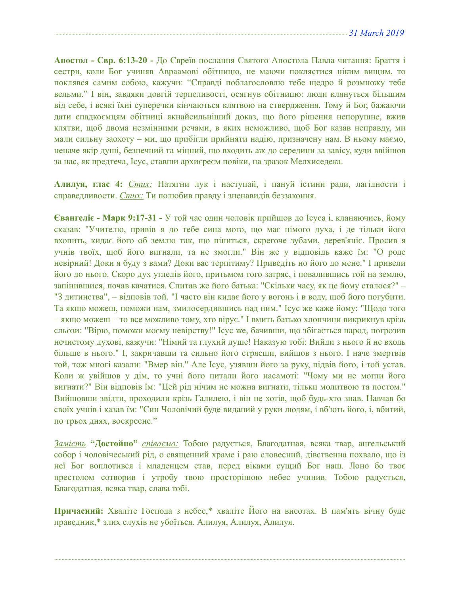**Апостол - Євр. 6:13-20 -** До Євреїв послання Святого Апостола Павла читання: Браття і сестри, коли Бог учиняв Авраамові обітницю, не маючи поклястися ніким вищим, то поклявся самим собою, кажучи: "Справді поблагословлю тебе щедро й розмножу тебе вельми." І він, завдяки довгій терпеливості, осягнув обітницю: люди клянуться більшим від себе, і всякі їхні суперечки кінчаються клятвою на ствердження. Тому й Бог, бажаючи дати спадкоємцям обітниці якнайсильніший доказ, що його рішення непорушне, вжив клятви, щоб двома незмінними речами, в яких неможливо, щоб Бог казав неправду, ми мали сильну заохоту – ми, що прибігли прийняти надію, призначену нам. В ньому маємо, неначе якір душі, безпечний та міцний, що входить аж до середини за завісу, куди ввійшов за нас, як предтеча, Ісус, ставши архиєреєм повіки, на зразок Мелхиседека.

**Алилуя, глас 4:** *Стих:* Натягни лук і наступай, і пануй істини ради, лагідности і справедливости. *Стих:* Ти полюбив правду і зненавидів беззаконня.

**Євангеліє - Марк 9:17-31 -** У той час один чоловік прийшов до Ісуса і, кланяючись, йому сказав: "Учителю, привів я до тебе сина мого, що має німого духа, і де тільки його вхопить, кидає його об землю так, що піниться, скрегоче зубами, дерев'яніє. Просив я учнів твоїх, щоб його вигнали, та не змогли." Він же у відповідь каже їм: "О роде невірний! Доки я буду з вами? Доки вас терпітиму? Приведіть но його до мене." І привели його до нього. Скоро дух угледів його, притьмом того затряс, і повалившись той на землю, запінившися, почав качатися. Спитав же його батька: "Скільки часу, як це йому сталося?" – "З дитинства", – відповів той. "І часто він кидає його у вогонь і в воду, щоб його погубити. Та якщо можеш, поможи нам, змилосердившись над ним." Ісус же каже йому: "Щодо того – якщо можеш – то все можливо тому, хто вірує." І вмить батько хлопчини викрикнув крізь сльози: "Вірю, поможи моєму невірству!" Ісус же, бачивши, що збігається народ, погрозив нечистому духові, кажучи: "Німий та глухий душе! Наказую тобі: Вийди з нього й не входь більше в нього." І, закричавши та сильно його стрясши, вийшов з нього. І наче змертвів той, тож многі казали: "Вмер він." Але Ісус, узявши його за руку, підвів його, і той устав. Коли ж увійшов у дім, то учні його питали його насамоті: "Чому ми не могли його вигнати?" Він відповів їм: "Цей рід нічим не можна вигнати, тільки молитвою та постом." Вийшовши звідти, проходили крізь Галилею, і він не хотів, щоб будь-хто знав. Навчав бо своїх учнів і казав їм: "Син Чоловічий буде виданий у руки людям, і вб'ють його, і, вбитий, по трьох днях, воскресне."

*Замість* **"Достойно"** *співаємо:* Тобою радується, Благодатная, всяка твар, ангельський собор і чоловічеський рід, о священний храме і раю словесний, дівственна похвало, що із неї Бог воплотився і младенцем став, перед віками сущий Бог наш. Лоно бо твоє престолом сотворив і утробу твою просторішою небес учинив. Тобою радується, Благодатная, всяка твар, слава тобі.

**Причасний:** Хваліте Господа з небес,\* хваліте Його на висотах. В пам'ять вічну буде праведник,\* злих слухів не убоїться. Алилуя, Алилуя, Алилуя.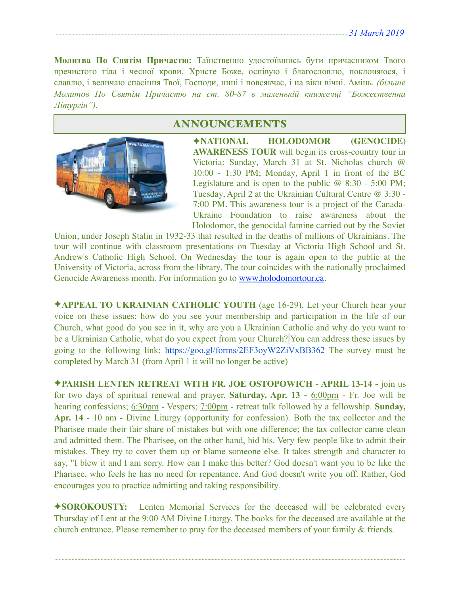**Молитва По Святім Причастю:** Таїнственно удостоївшись бути причасником Твого пречистого тіла і чесної крови, Христе Боже, оспівую і благословлю, поклоняюся, і славлю, і величаю спасіння Твої, Господи, нині і повсякчас, і на віки вічні. Амінь. *(більше Молитов По Святім Причастю на ст. 80-87 в маленькій книжечці "Божественна Літургія")*.



# ANNOUNCEMENTS

✦**NATIONAL HOLODOMOR (GENOCIDE) AWARENESS TOUR** will begin its cross-country tour in Victoria: Sunday, March 31 at St. Nicholas church @ 10:00 - 1:30 PM; Monday, April 1 in front of the BC Legislature and is open to the public  $@ 8:30 - 5:00 \text{ PM};$ Tuesday, April 2 at the Ukrainian Cultural Centre @ 3:30 - 7:00 PM. This awareness tour is a project of the Canada-Ukraine Foundation to raise awareness about the Holodomor, the genocidal famine carried out by the Soviet

Union, under Joseph Stalin in 1932-33 that resulted in the deaths of millions of Ukrainians. The tour will continue with classroom presentations on Tuesday at Victoria High School and St. Andrew's Catholic High School. On Wednesday the tour is again open to the public at the University of Victoria, across from the library. The tour coincides with the nationally proclaimed Genocide Awareness month. For information go to [www.holodomortour.ca](http://www.holodomortour.ca).

✦**APPEAL TO UKRAINIAN CATHOLIC YOUTH** (age 16-29). Let your Church hear your voice on these issues: how do you see your membership and participation in the life of our Church, what good do you see in it, why are you a Ukrainian Catholic and why do you want to be a Ukrainian Catholic, what do you expect from your Church? You can address these issues by going to the following link: <https://goo.gl/forms/2EF3oyW2ZiVxBB362>The survey must be completed by March 31 (from April 1 it will no longer be active)

✦**PARISH LENTEN RETREAT WITH FR. JOE OSTOPOWICH - APRIL 13-14 -** join us for two days of spiritual renewal and prayer. **Saturday, Apr. 13 -** 6:00pm - Fr. Joe will be hearing confessions; 6:30pm - Vespers; 7:00pm - retreat talk followed by a fellowship. **Sunday, Apr. 14** - 10 am - Divine Liturgy (opportunity for confession). Both the tax collector and the Pharisee made their fair share of mistakes but with one difference; the tax collector came clean and admitted them. The Pharisee, on the other hand, hid his. Very few people like to admit their mistakes. They try to cover them up or blame someone else. It takes strength and character to say, "I blew it and I am sorry. How can I make this better? God doesn't want you to be like the Pharisee, who feels he has no need for repentance. And God doesn't write you off. Rather, God encourages you to practice admitting and taking responsibility.

✦**SOROKOUSTY:** Lenten Memorial Services for the deceased will be celebrated every Thursday of Lent at the 9:00 AM Divine Liturgy. The books for the deceased are available at the church entrance. Please remember to pray for the deceased members of your family & friends.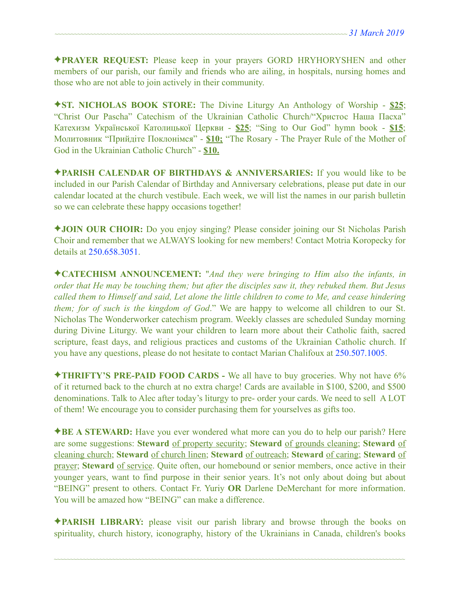✦**PRAYER REQUEST:** Please keep in your prayers GORD HRYHORYSHEN and other members of our parish, our family and friends who are ailing, in hospitals, nursing homes and those who are not able to join actively in their community.

✦**ST. NICHOLAS BOOK STORE:** The Divine Liturgy An Anthology of Worship - **\$25**; "Christ Our Pascha" Catechism of the Ukrainian Catholic Church/"Христос Наша Пасха" Катехизм Української Католицької Церкви - **\$25**; "Sing to Our God" hymn book - **\$15**; Молитовник "Прийдіте Поклонімся" - **\$10;** "The Rosary - The Prayer Rule of the Mother of God in the Ukrainian Catholic Church" - **\$10.** 

✦**PARISH CALENDAR OF BIRTHDAYS & ANNIVERSARIES:** If you would like to be included in our Parish Calendar of Birthday and Anniversary celebrations, please put date in our calendar located at the church vestibule. Each week, we will list the names in our parish bulletin so we can celebrate these happy occasions together!

✦**JOIN OUR CHOIR:** Do you enjoy singing? Please consider joining our St Nicholas Parish Choir and remember that we ALWAYS looking for new members! Contact Motria Koropecky for details at 250.658.3051.

✦**CATECHISM ANNOUNCEMENT:** "*And they were bringing to Him also the infants, in order that He may be touching them; but after the disciples saw it, they rebuked them. But Jesus called them to Himself and said, Let alone the little children to come to Me, and cease hindering them; for of such is the kingdom of God*." We are happy to welcome all children to our St. Nicholas The Wonderworker catechism program. Weekly classes are scheduled Sunday morning during Divine Liturgy. We want your children to learn more about their Catholic faith, sacred scripture, feast days, and religious practices and customs of the Ukrainian Catholic church. If you have any questions, please do not hesitate to contact Marian Chalifoux at 250.507.1005.

✦**THRIFTY'S PRE-PAID FOOD CARDS -** We all have to buy groceries. Why not have 6% of it returned back to the church at no extra charge! Cards are available in \$100, \$200, and \$500 denominations. Talk to Alec after today's liturgy to pre- order your cards. We need to sell A LOT of them! We encourage you to consider purchasing them for yourselves as gifts too.

✦**BE A STEWARD:** Have you ever wondered what more can you do to help our parish? Here are some suggestions: **Steward** of property security; **Steward** of grounds cleaning; **Steward** of cleaning church; **Steward** of church linen; **Steward** of outreach; **Steward** of caring; **Steward** of prayer; **Steward** of service. Quite often, our homebound or senior members, once active in their younger years, want to find purpose in their senior years. It's not only about doing but about "BEING" present to others. Contact Fr. Yuriy **OR** Darlene DeMerchant for more information. You will be amazed how "BEING" can make a difference.

✦**PARISH LIBRARY:** please visit our parish library and browse through the books on spirituality, church history, iconography, history of the Ukrainians in Canada, children's books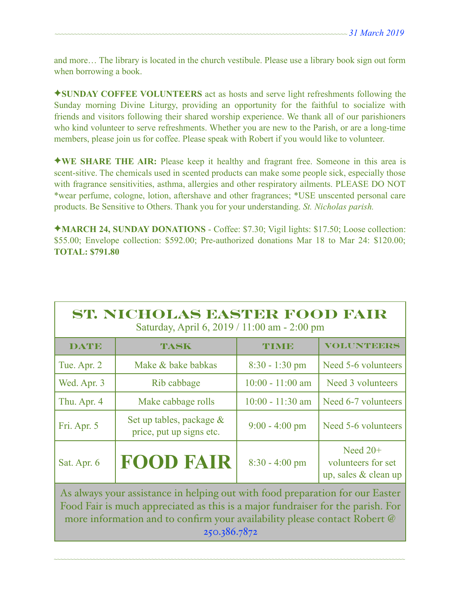and more… The library is located in the church vestibule. Please use a library book sign out form when borrowing a book.

✦**SUNDAY COFFEE VOLUNTEERS** act as hosts and serve light refreshments following the Sunday morning Divine Liturgy, providing an opportunity for the faithful to socialize with friends and visitors following their shared worship experience. We thank all of our parishioners who kind volunteer to serve refreshments. Whether you are new to the Parish, or are a long-time members, please join us for coffee. Please speak with Robert if you would like to volunteer.

✦**WE SHARE THE AIR:** Please keep it healthy and fragrant free. Someone in this area is scent-sitive. The chemicals used in scented products can make some people sick, especially those with fragrance sensitivities, asthma, allergies and other respiratory ailments. PLEASE DO NOT \*wear perfume, cologne, lotion, aftershave and other fragrances; \*USE unscented personal care products. Be Sensitive to Others. Thank you for your understanding. *St. Nicholas parish.* 

✦**MARCH 24, SUNDAY DONATIONS** - Coffee: \$7.30; Vigil lights: \$17.50; Loose collection: \$55.00; Envelope collection: \$592.00; Pre-authorized donations Mar 18 to Mar 24: \$120.00; **TOTAL: \$791.80** 

| ST. NICHOLAS BASTER FOOD FAIR<br>Saturday, April 6, 2019 / 11:00 am - 2:00 pm                                                                                                                                                                                 |                                                         |                    |                                                          |  |  |  |
|---------------------------------------------------------------------------------------------------------------------------------------------------------------------------------------------------------------------------------------------------------------|---------------------------------------------------------|--------------------|----------------------------------------------------------|--|--|--|
| <b>DATE</b>                                                                                                                                                                                                                                                   | TASK                                                    | TIME               | <b>VOLUNTEERS</b>                                        |  |  |  |
| Tue. Apr. 2                                                                                                                                                                                                                                                   | Make & bake babkas                                      | $8:30 - 1:30$ pm   | Need 5-6 volunteers                                      |  |  |  |
| Wed. Apr. 3                                                                                                                                                                                                                                                   | Rib cabbage                                             | $10:00 - 11:00$ am | Need 3 volunteers                                        |  |  |  |
| Thu. Apr. 4                                                                                                                                                                                                                                                   | Make cabbage rolls                                      | $10:00 - 11:30$ am | Need 6-7 volunteers                                      |  |  |  |
| Fri. Apr. 5                                                                                                                                                                                                                                                   | Set up tables, package $\&$<br>price, put up signs etc. | $9:00 - 4:00$ pm   | Need 5-6 volunteers                                      |  |  |  |
| Sat. Apr. 6                                                                                                                                                                                                                                                   | <b>FOOD FAIR</b>                                        | $8:30 - 4:00$ pm   | Need $20+$<br>volunteers for set<br>up, sales & clean up |  |  |  |
| As always your assistance in helping out with food preparation for our Easter<br>Food Fair is much appreciated as this is a major fundraiser for the parish. For<br>more information and to confirm your availability please contact Robert @<br>250.386.7872 |                                                         |                    |                                                          |  |  |  |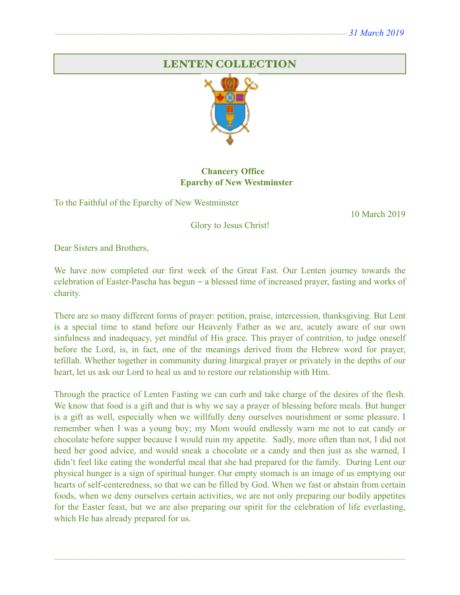# LENTEN COLLECTION



### **Chancery Office Eparchy of New Westminster**

To the Faithful of the Eparchy of New Westminster

10 March 2019

Glory to Jesus Christ!

Dear Sisters and Brothers,

We have now completed our first week of the Great Fast. Our Lenten journey towards the celebration of Easter-Pascha has begun - a blessed time of increased prayer, fasting and works of charity.

There are so many different forms of prayer: petition, praise, intercession, thanksgiving. But Lent is a special time to stand before our Heavenly Father as we are, acutely aware of our own sinfulness and inadequacy, yet mindful of His grace. This prayer of contrition, to judge oneself before the Lord, is, in fact, one of the meanings derived from the Hebrew word for prayer, tefillah. Whether together in community during liturgical prayer or privately in the depths of our heart, let us ask our Lord to heal us and to restore our relationship with Him.

Through the practice of Lenten Fasting we can curb and take charge of the desires of the flesh. We know that food is a gift and that is why we say a prayer of blessing before meals. But hunger is a gift as well, especially when we willfully deny ourselves nourishment or some pleasure. I remember when I was a young boy; my Mom would endlessly warn me not to eat candy or chocolate before supper because I would ruin my appetite. Sadly, more often than not, I did not heed her good advice, and would sneak a chocolate or a candy and then just as she warned, I didn't feel like eating the wonderful meal that she had prepared for the family. During Lent our physical hunger is a sign of spiritual hunger. Our empty stomach is an image of us emptying our hearts of self-centeredness, so that we can be filled by God. When we fast or abstain from certain foods, when we deny ourselves certain activities, we are not only preparing our bodily appetites for the Easter feast, but we are also preparing our spirit for the celebration of life everlasting, which He has already prepared for us.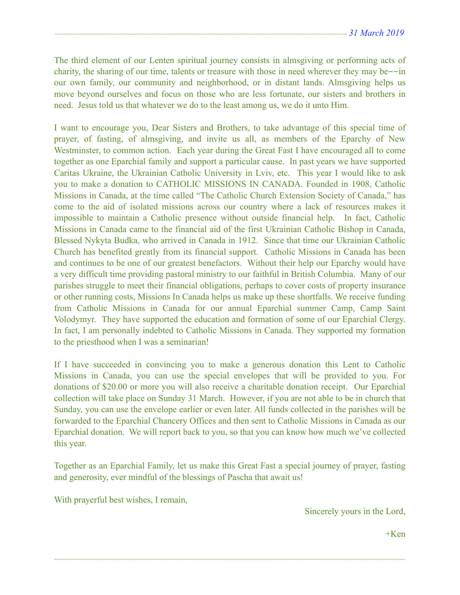The third element of our Lenten spiritual journey consists in almsgiving or performing acts of charity, the sharing of our time, talents or treasure with those in need wherever they may be--in our own family, our community and neighborhood, or in distant lands. Almsgiving helps us move beyond ourselves and focus on those who are less fortunate, our sisters and brothers in need. Jesus told us that whatever we do to the least among us, we do it unto Him.

I want to encourage you, Dear Sisters and Brothers, to take advantage of this special time of prayer, of fasting, of almsgiving, and invite us all, as members of the Eparchy of New Westminster, to common action. Each year during the Great Fast I have encouraged all to come together as one Eparchial family and support a particular cause. In past years we have supported Caritas Ukraine, the Ukrainian Catholic University in Lviv, etc. This year I would like to ask you to make a donation to CATHOLIC MISSIONS IN CANADA. Founded in 1908, Catholic Missions in Canada, at the time called "The Catholic Church Extension Society of Canada," has come to the aid of isolated missions across our country where a lack of resources makes it impossible to maintain a Catholic presence without outside financial help. In fact, Catholic Missions in Canada came to the financial aid of the first Ukrainian Catholic Bishop in Canada, Blessed Nykyta Budka, who arrived in Canada in 1912. Since that time our Ukrainian Catholic Church has benefited greatly from its financial support. Catholic Missions in Canada has been and continues to be one of our greatest benefactors. Without their help our Eparchy would have a very difficult time providing pastoral ministry to our faithful in British Columbia. Many of our parishes struggle to meet their financial obligations, perhaps to cover costs of property insurance or other running costs, Missions In Canada helps us make up these shortfalls. We receive funding from Catholic Missions in Canada for our annual Eparchial summer Camp, Camp Saint Volodymyr. They have supported the education and formation of some of our Eparchial Clergy. In fact, I am personally indebted to Catholic Missions in Canada. They supported my formation to the priesthood when I was a seminarian!

If I have succeeded in convincing you to make a generous donation this Lent to Catholic Missions in Canada, you can use the special envelopes that will be provided to you. For donations of \$20.00 or more you will also receive a charitable donation receipt. Our Eparchial collection will take place on Sunday 31 March. However, if you are not able to be in church that Sunday, you can use the envelope earlier or even later. All funds collected in the parishes will be forwarded to the Eparchial Chancery Offices and then sent to Catholic Missions in Canada as our Eparchial donation. We will report back to you, so that you can know how much we've collected this year.

Together as an Eparchial Family, let us make this Great Fast a special journey of prayer, fasting and generosity, ever mindful of the blessings of Pascha that await us!

~~~~~~~~~~~~~~~~~~~~~~~~~~~~~~~~~~~~~~~~~~~~~~~~~~~~~~~~~~~~~~~~~~~~~~~~~~~~~~~~~~~~~~~~~~~~~~~~~~~~~~~~~~~~

With prayerful best wishes, I remain,

Sincerely yours in the Lord,

 $+$ Ken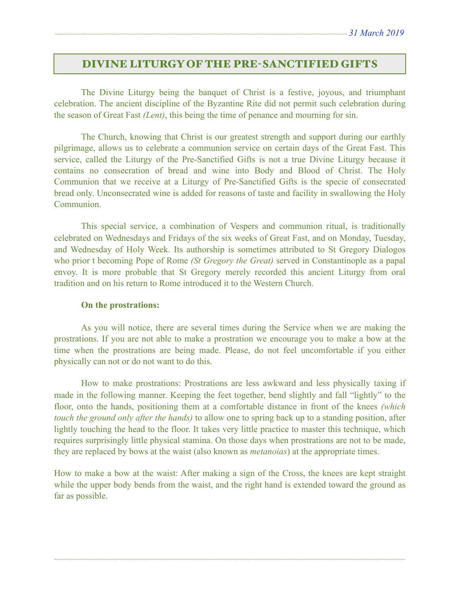## DIVINE LITURGY OF THE PRE-SANCTIFIED GIFTS

 The Divine Liturgy being the banquet of Christ is a festive, joyous, and triumphant celebration. The ancient discipline of the Byzantine Rite did not permit such celebration during the season of Great Fast *(Lent)*, this being the time of penance and mourning for sin.

The Church, knowing that Christ is our greatest strength and support during our earthly pilgrimage, allows us to celebrate a communion service on certain days of the Great Fast. This service, called the Liturgy of the Pre-Sanctified Gifts is not a true Divine Liturgy because it contains no consecration of bread and wine into Body and Blood of Christ. The Holy Communion that we receive at a Liturgy of Pre-Sanctified Gifts is the specie of consecrated bread only. Unconsecrated wine is added for reasons of taste and facility in swallowing the Holy **Communion** 

This special service, a combination of Vespers and communion ritual, is traditionally celebrated on Wednesdays and Fridays of the six weeks of Great Fast, and on Monday, Tuesday, and Wednesday of Holy Week. Its authorship is sometimes attributed to St Gregory Dialogos who prior t becoming Pope of Rome *(St Gregory the Great)* served in Constantinople as a papal envoy. It is more probable that St Gregory merely recorded this ancient Liturgy from oral tradition and on his return to Rome introduced it to the Western Church.

#### **On the prostrations:**

 As you will notice, there are several times during the Service when we are making the prostrations. If you are not able to make a prostration we encourage you to make a bow at the time when the prostrations are being made. Please, do not feel uncomfortable if you either physically can not or do not want to do this.

How to make prostrations: Prostrations are less awkward and less physically taxing if made in the following manner. Keeping the feet together, bend slightly and fall "lightly" to the floor, onto the hands, positioning them at a comfortable distance in front of the knees *(which touch the ground only after the hands)* to allow one to spring back up to a standing position, after lightly touching the head to the floor. It takes very little practice to master this technique, which requires surprisingly little physical stamina. On those days when prostrations are not to be made, they are replaced by bows at the waist (also known as *metanoias*) at the appropriate times.

How to make a bow at the waist: After making a sign of the Cross, the knees are kept straight while the upper body bends from the waist, and the right hand is extended toward the ground as far as possible.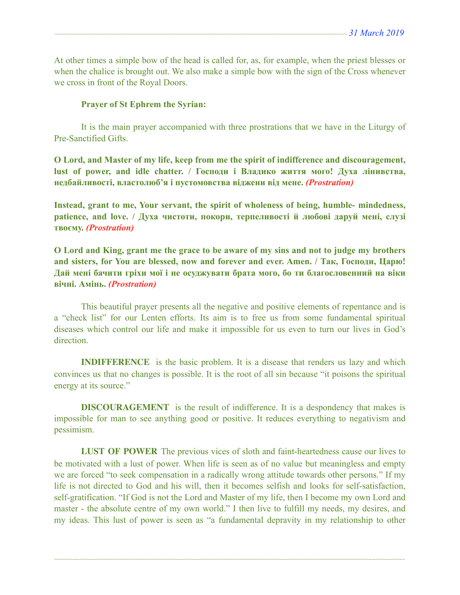At other times a simple bow of the head is called for, as, for example, when the priest blesses or when the chalice is brought out. We also make a simple bow with the sign of the Cross whenever we cross in front of the Royal Doors.

#### **Prayer of St Ephrem the Syrian:**

 It is the main prayer accompanied with three prostrations that we have in the Liturgy of Pre-Sanctified Gifts.

**O Lord, and Master of my life, keep from me the spirit of indifference and discouragement, lust of power, and idle chatter. / Господи і Владико життя мого! Духа лінивства, недбайливості, властолюб'я і пустомовства віджени від мене.** *(Prostration)* 

**Instead, grant to me, Your servant, the spirit of wholeness of being, humble- mindedness, patience, and love. / Духа чистоти, покори, терпеливості й любові даруй мені, слузі твоєму.** *(Prostration)* 

**O Lord and King, grant me the grace to be aware of my sins and not to judge my brothers and sisters, for You are blessed, now and forever and ever. Amen. / Так, Господи, Царю! Дай мені бачити гріхи мої і не осуджувати брата мого, бо ти благословенний на віки вічні. Амінь.** *(Prostration)* 

This beautiful prayer presents all the negative and positive elements of repentance and is a "check list" for our Lenten efforts. Its aim is to free us from some fundamental spiritual diseases which control our life and make it impossible for us even to turn our lives in God's direction.

**INDIFFERENCE** is the basic problem. It is a disease that renders us lazy and which convinces us that no changes is possible. It is the root of all sin because "it poisons the spiritual energy at its source."

**DISCOURAGEMENT** is the result of indifference. It is a despondency that makes is impossible for man to see anything good or positive. It reduces everything to negativism and pessimism.

**LUST OF POWER** The previous vices of sloth and faint-heartedness cause our lives to be motivated with a lust of power. When life is seen as of no value but meaningless and empty we are forced "to seek compensation in a radically wrong attitude towards other persons." If my life is not directed to God and his will, then it becomes selfish and looks for self-satisfaction, self-gratification. "If God is not the Lord and Master of my life, then I become my own Lord and master - the absolute centre of my own world." I then live to fulfill my needs, my desires, and my ideas. This lust of power is seen as "a fundamental depravity in my relationship to other